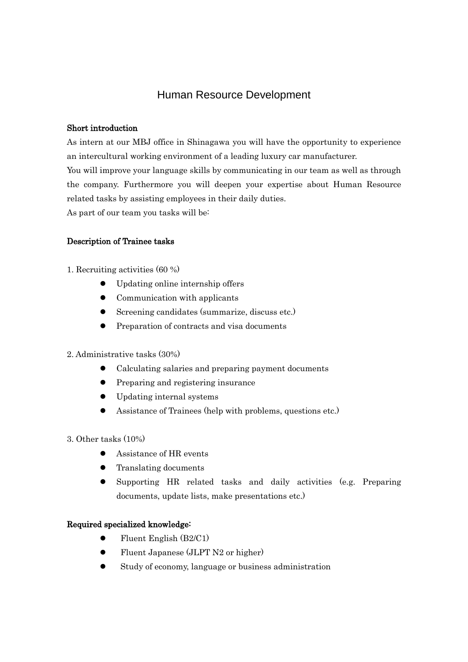# Human Resource Development

### Short introduction

As intern at our MBJ office in Shinagawa you will have the opportunity to experience an intercultural working environment of a leading luxury car manufacturer. You will improve your language skills by communicating in our team as well as through the company. Furthermore you will deepen your expertise about Human Resource related tasks by assisting employees in their daily duties. As part of our team you tasks will be:

### Description of Trainee tasks

- 1. Recruiting activities (60 %)
	- Updating online internship offers
	- Communication with applicants
	- Screening candidates (summarize, discuss etc.)
	- Preparation of contracts and visa documents

### 2. Administrative tasks (30%)

- Calculating salaries and preparing payment documents
- Preparing and registering insurance
- Updating internal systems
- Assistance of Trainees (help with problems, questions etc.)
- 3. Other tasks (10%)
	- Assistance of HR events
	- Translating documents
	- Supporting HR related tasks and daily activities (e.g. Preparing documents, update lists, make presentations etc.)

### Required specialized knowledge:

- $\bullet$  Fluent English (B2/C1)
- Fluent Japanese (JLPT N2 or higher)
- Study of economy, language or business administration